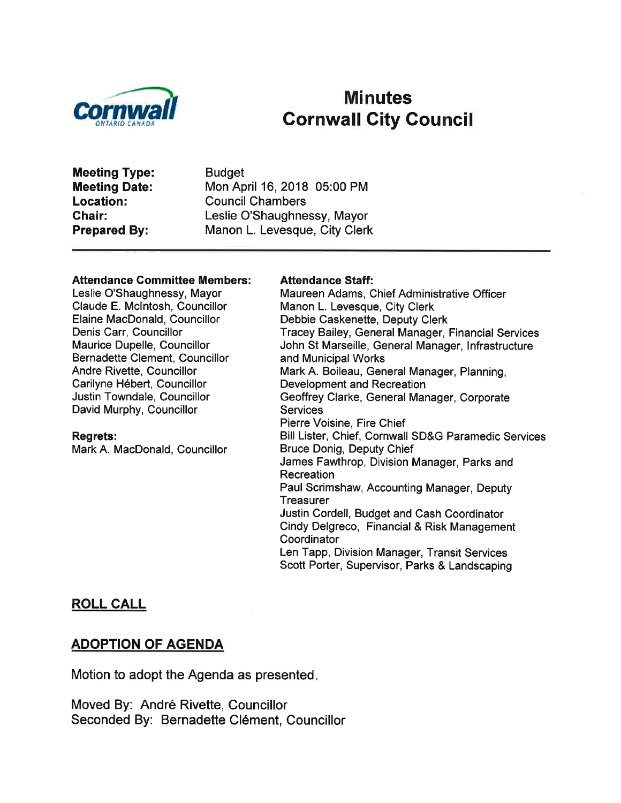

# Minutes<br>Cornwall City Council

Meeting Type: Meeting Date: Location: Ghair: Prepared By:

Budget Mon April 16,2018 05:00 PM Council Chambers Leslie O'Shaughnessy, Mayor Manon L. Levesque, City Clerk

#### Attendance Gommittee Members:

Leslie O'Shaughnessy, Mayor Claude E. Mclntosh, Councillor Elaine MacDonald, Councillor Denis Carr, Councillor Maurice Dupelle, Councillor Bernadette Clement, Councillor Andre Rivette, Councillor Carilyne Hébert, Councillor Justin Towndale, Councillor David Murphy, Councillor

#### Regrets:

Mark A. MacDonald, Councillor

#### Attendance Staff:

Maureen Adams, Chief Administrative Officer Manon L. Levesque, City Clerk Debbie Caskenette, Deputy Clerk Tracey Bailey, General Manager, Financial Services John St Marseille, General Manager, lnfrastructure and Municipal Works Mark A. Boileau, General Manager, Planning, Development and Recreation Geoffrey Clarke, General Manager, Corporate **Services** Pierre Voisine, Fire Chief Bill Lister, Chief, Cornwall SD&G Paramedic Services Bruce Donig, Deputy Chief James Fawthrop, Division Manager, Parks and **Recreation** Paul Scrimshaw, Accounting Manager, Deputy **Treasurer** Justin Cordell, Budget and Cash Coordinator Cindy Delgreco, Financial & Risk Management **Coordinator** Len Tapp, Division Manager, Transit Services Scott Porter, Supervisor, Parks & Landscaping

#### ROLL CALL

#### ADOPTION OF AGENDA

Motion to adopt the Agenda as presented

Moved By: André Rivette, Councillor Seconded By: Bernadette Clément, Councillor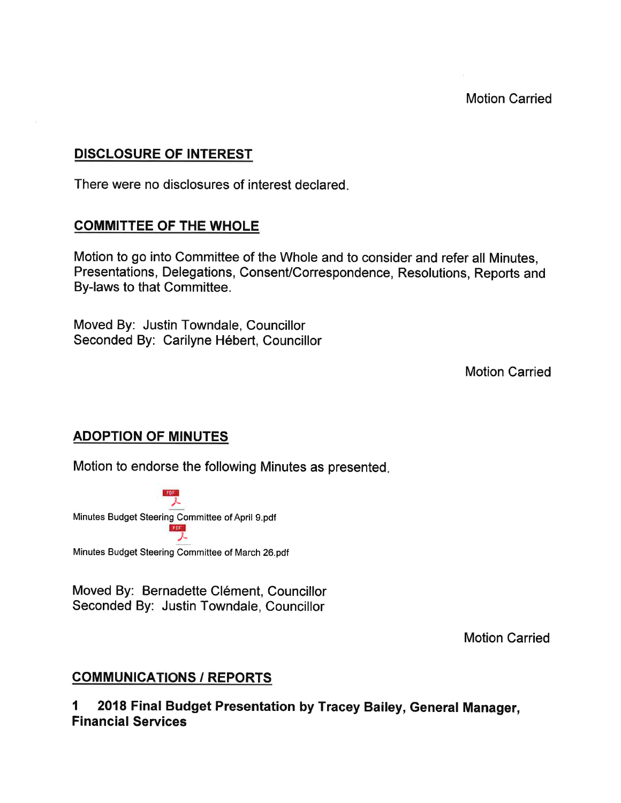# DISCLOSURE OF INTEREST

There were no disclosures of interest declared

# COMMITTEE OF THE WHOLE

Motion to go into Committee of the Whole and to consider and refer all Minutes, Presentations, Delegations, Consent/Correspondence, Resolutions, Reports and By-laws to that Committee.

Moved By: Justin Towndale, Councillor Seconded By: Carilyne Hébert, Councillor

Motion Carried

## ADOPTION OF MINUTES

Motion to endorse the following Minutes as presented

 $\frac{1}{\lambda}$ Minutes Budget Steering Committee of April 9.pdf @1

Minutes Budget Steering Committee of March 26.pdf

Moved By: Bernadette Clément, Councillor Seconded By: Justin Towndale, Councillor

Motion Carried

# **COMMUNICATIONS / REPORTS**

1 2018 Final Budget Presentation by Tracey Bailey, General Manager, Financial Services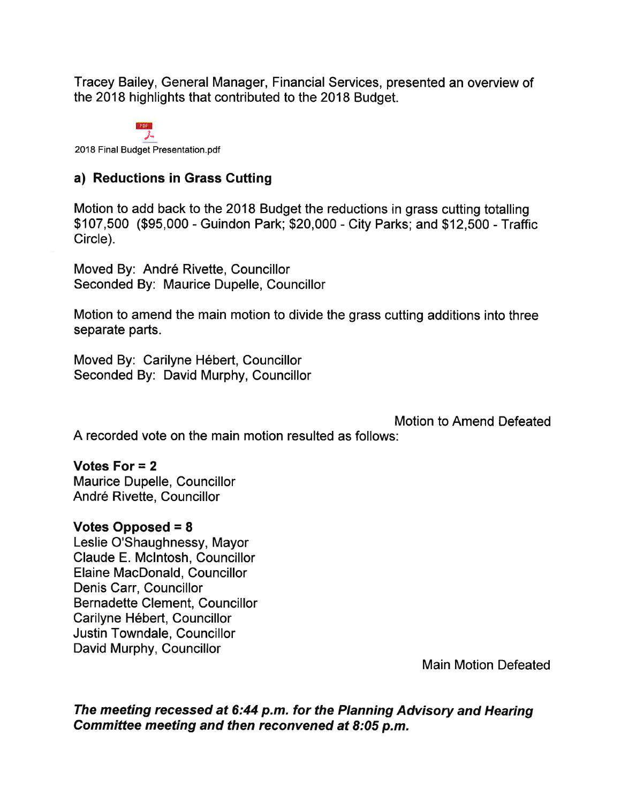Tracey Bailey, General Manager, Financial Services, presented an overview of the 2018 highlights that contributed to the 2018 Budget.

PDF. 2018 Final Budget Presentation.pdf

# a) Reductions in Grass Cutting

Motion to add back to the 2018 Budget the reductions in grass cutting totalling \$107,500 (\$95,000 - Guindon Park; \$20,000 - City Parks; and \$12,500 - Traffic Circle).

Moved By: André Rivette, Councillor Seconded By: Maurice Dupelle, Councillor

Motion to amend the main motion to divide the grass cutting additions into three separate parts.

Moved By: Carilyne Hébert, Councillor Seconded By: David Murphy, Councillor

Motion to Amend Defeated

A recorded vote on the main motion resulted as follows:

## Votes For  $= 2$

Maurice Dupelle, Councillor André Rivette, Councillor

## Votes Opposed = 8

Leslie O'Shaughnessy, Mayor Claude E. Mclntosh, Councillor Elaine MacDonald, Councillor Denis Carr, Councillor Bernadette Clement, Councillor Carilyne Hébert, Councillor Justin Towndale, Councillor David Murphy, Councillor

Main Motion Defeated

The meeting recessed at 6:44 p.m. for the Planning Advisory and Hearing Committee meeting and then reconvened at 8:05 p.m,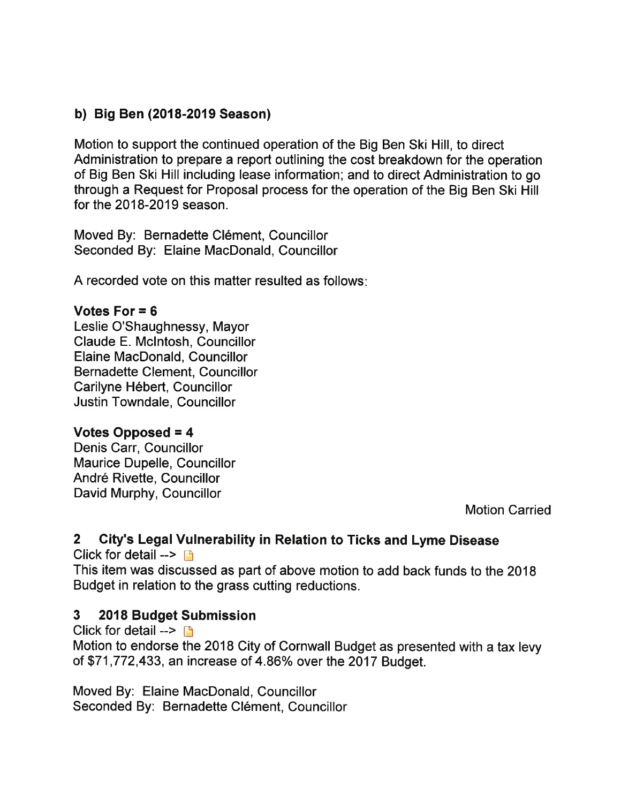# b) Big Ben (2018-2019 Season)

Motion to support the continued operation of the Big Ben Ski Hill, to direct Administration to prepare a report outlining the cost breakdown for the operation of Big Ben Ski Hill including lease information; and to direct Administration to go through a Request for Proposal process for the operation of the Big Ben Ski Hill for the 2018-2019 season.

Moved By: Bernadette Clément, Councillor Seconded By: Elaine MacDonald, Councillor

A recorded vote on this matter resulted as follows

## Votes For  $= 6$

Leslie O'Shaughnessy, Mayor Claude E. Mclntosh, Councillor Elaine MacDonald, Councillor Bernadette Clement, Councillor Carilyne Hébert, Councillor Justin Towndale, Councillor

## Votes Opposed = 4

Denis Carr, Councillor Maurice Dupelle, Councillor André Rivette, Councillor David Murphy, Councillor

Motion Garried

# 2 City's Legal Vulnerability in Relation to Ticks and Lyme Disease

Click for detail  $\rightarrow$   $\rightarrow$ This item was discussed as part of above motion to add back funds to the 2018 Budget in relation to the grass cutting reductions.

# 3 2018 Budget Submission

Click for detail  $\rightarrow \Box$ Motion to endorse the 2018 City of Cornwall Budget as presented with a tax levy of \$71,772,433, an increase of 4.86% over the 2017 Budget.

Moved By: Elaine MacDonald, Councillor Seconded By: Bernadette Clément, Councillor